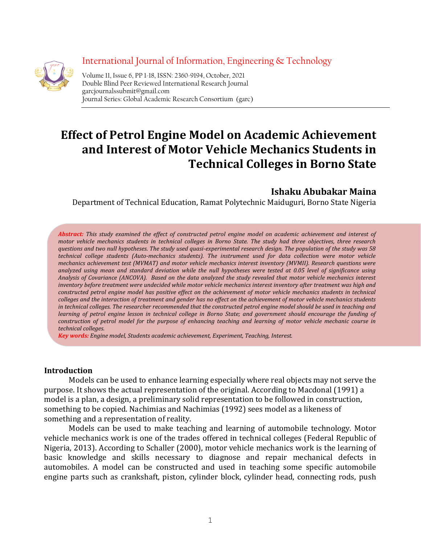

International Journal of Information, Engineering & Technology Volume 11, Issue 6, PP 1-18, ISSN: 2360-9194, October, 2021 Double Blind Peer Reviewed International Research Journal garcjournalssubmit@gmail.com<br>Journal Series: Global Academic Research Consortium (garc)

# Effect of Petrol Engine Model on Academic Achievement and Interest of Motor Vehicle Mechanics Students in Technical Colleges in Borno State

# Ishaku Abubakar Maina

Department of Technical Education, Ramat Polytechnic Maiduguri, Borno State Nigeria

Abstract: This study examined the effect of constructed petrol engine model on academic achievement and interest of motor vehicle mechanics students in technical colleges in Borno State. The study had three objectives, three research questions and two null hypotheses. The study used quasi-experimental research design. The population of the study was 58 technical college students (Auto-mechanics students). The instrument used for data collection were motor vehicle mechanics achievement test (MVMAT) and motor vehicle mechanics interest inventory (MVMII). Research questions were analyzed using mean and standard deviation while the null hypotheses were tested at 0.05 level of significance using Analysis of Covariance (ANCOVA). Based on the data analyzed the study revealed that motor vehicle mechanics interest inventory before treatment were undecided while motor vehicle mechanics interest inventory after treatment was high and constructed petrol engine model has positive effect on the achievement of motor vehicle mechanics students in technical colleges and the interaction of treatment and gender has no effect on the achievement of motor vehicle mechanics students in technical colleges. The researcher recommended that the constructed petrol engine model should be used in teaching and learning of petrol engine lesson in technical college in Borno State; and government should encourage the funding of construction of petrol model for the purpose of enhancing teaching and learning of motor vehicle mechanic course in technical colleges.

Key words: Engine model, Students academic achievement, Experiment, Teaching, Interest.

#### Introduction

Models can be used to enhance learning especially where real objects may not serve the purpose. It shows the actual representation of the original. According to Macdonal (1991) a model is a plan, a design, a preliminary solid representation to be followed in construction, something to be copied. Nachimias and Nachimias (1992) sees model as a likeness of something and a representation of reality.

Models can be used to make teaching and learning of automobile technology. Motor vehicle mechanics work is one of the trades offered in technical colleges (Federal Republic of Nigeria, 2013). According to Schaller (2000), motor vehicle mechanics work is the learning of basic knowledge and skills necessary to diagnose and repair mechanical defects in automobiles. A model can be constructed and used in teaching some specific automobile engine parts such as crankshaft, piston, cylinder block, cylinder head, connecting rods, push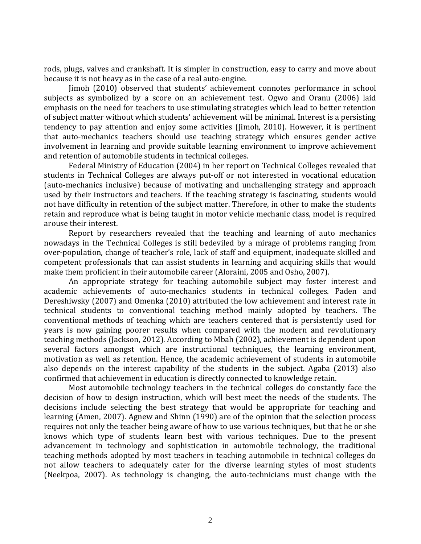rods, plugs, valves and crankshaft. It is simpler in construction, easy to carry and move about because it is not heavy as in the case of a real auto-engine.

Jimoh (2010) observed that students' achievement connotes performance in school subjects as symbolized by a score on an achievement test. Ogwo and Oranu (2006) laid emphasis on the need for teachers to use stimulating strategies which lead to better retention of subject matter without which students' achievement will be minimal. Interest is a persisting tendency to pay attention and enjoy some activities (Jimoh, 2010). However, it is pertinent that auto-mechanics teachers should use teaching strategy which ensures gender active involvement in learning and provide suitable learning environment to improve achievement and retention of automobile students in technical colleges.

Federal Ministry of Education (2004) in her report on Technical Colleges revealed that students in Technical Colleges are always put-off or not interested in vocational education (auto-mechanics inclusive) because of motivating and unchallenging strategy and approach used by their instructors and teachers. If the teaching strategy is fascinating, students would not have difficulty in retention of the subject matter. Therefore, in other to make the students retain and reproduce what is being taught in motor vehicle mechanic class, model is required arouse their interest.

Report by researchers revealed that the teaching and learning of auto mechanics nowadays in the Technical Colleges is still bedeviled by a mirage of problems ranging from over-population, change of teacher's role, lack of staff and equipment, inadequate skilled and competent professionals that can assist students in learning and acquiring skills that would make them proficient in their automobile career (Aloraini, 2005 and Osho, 2007).

An appropriate strategy for teaching automobile subject may foster interest and academic achievements of auto-mechanics students in technical colleges. Paden and Dereshiwsky (2007) and Omenka (2010) attributed the low achievement and interest rate in technical students to conventional teaching method mainly adopted by teachers. The conventional methods of teaching which are teachers centered that is persistently used for years is now gaining poorer results when compared with the modern and revolutionary teaching methods (Jackson, 2012). According to Mbah (2002), achievement is dependent upon several factors amongst which are instructional techniques, the learning environment, motivation as well as retention. Hence, the academic achievement of students in automobile also depends on the interest capability of the students in the subject. Agaba (2013) also confirmed that achievement in education is directly connected to knowledge retain.

Most automobile technology teachers in the technical colleges do constantly face the decision of how to design instruction, which will best meet the needs of the students. The decisions include selecting the best strategy that would be appropriate for teaching and learning (Amen, 2007). Agnew and Shinn (1990) are of the opinion that the selection process requires not only the teacher being aware of how to use various techniques, but that he or she knows which type of students learn best with various techniques. Due to the present advancement in technology and sophistication in automobile technology, the traditional teaching methods adopted by most teachers in teaching automobile in technical colleges do not allow teachers to adequately cater for the diverse learning styles of most students (Neekpoa, 2007). As technology is changing, the auto-technicians must change with the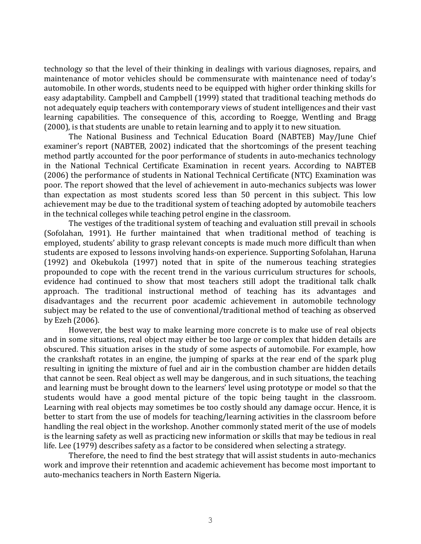technology so that the level of their thinking in dealings with various diagnoses, repairs, and maintenance of motor vehicles should be commensurate with maintenance need of today's automobile. In other words, students need to be equipped with higher order thinking skills for easy adaptability. Campbell and Campbell (1999) stated that traditional teaching methods do not adequately equip teachers with contemporary views of student intelligences and their vast learning capabilities. The consequence of this, according to Roegge, Wentling and Bragg (2000), is that students are unable to retain learning and to apply it to new situation.

The National Business and Technical Education Board (NABTEB) May/June Chief examiner's report (NABTEB, 2002) indicated that the shortcomings of the present teaching method partly accounted for the poor performance of students in auto-mechanics technology in the National Technical Certificate Examination in recent years. According to NABTEB (2006) the performance of students in National Technical Certificate (NTC) Examination was poor. The report showed that the level of achievement in auto-mechanics subjects was lower than expectation as most students scored less than 50 percent in this subject. This low achievement may be due to the traditional system of teaching adopted by automobile teachers in the technical colleges while teaching petrol engine in the classroom.

The vestiges of the traditional system of teaching and evaluation still prevail in schools (Sofolahan, 1991). He further maintained that when traditional method of teaching is employed, students' ability to grasp relevant concepts is made much more difficult than when students are exposed to lessons involving hands-on experience. Supporting Sofolahan, Haruna (1992) and Okebukola (1997) noted that in spite of the numerous teaching strategies propounded to cope with the recent trend in the various curriculum structures for schools, evidence had continued to show that most teachers still adopt the traditional talk chalk approach. The traditional instructional method of teaching has its advantages and disadvantages and the recurrent poor academic achievement in automobile technology subject may be related to the use of conventional/traditional method of teaching as observed by Ezeh (2006).

However, the best way to make learning more concrete is to make use of real objects and in some situations, real object may either be too large or complex that hidden details are obscured. This situation arises in the study of some aspects of automobile. For example, how the crankshaft rotates in an engine, the jumping of sparks at the rear end of the spark plug resulting in igniting the mixture of fuel and air in the combustion chamber are hidden details that cannot be seen. Real object as well may be dangerous, and in such situations, the teaching and learning must be brought down to the learners' level using prototype or model so that the students would have a good mental picture of the topic being taught in the classroom. Learning with real objects may sometimes be too costly should any damage occur. Hence, it is better to start from the use of models for teaching/learning activities in the classroom before handling the real object in the workshop. Another commonly stated merit of the use of models is the learning safety as well as practicing new information or skills that may be tedious in real life. Lee (1979) describes safety as a factor to be considered when selecting a strategy.

Therefore, the need to find the best strategy that will assist students in auto-mechanics work and improve their retenntion and academic achievement has become most important to auto-mechanics teachers in North Eastern Nigeria.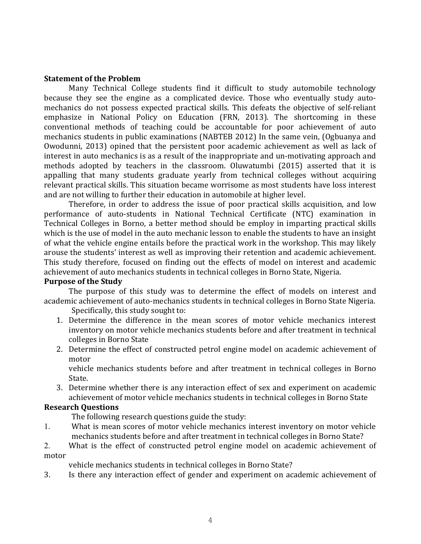#### Statement of the Problem

Many Technical College students find it difficult to study automobile technology because they see the engine as a complicated device. Those who eventually study automechanics do not possess expected practical skills. This defeats the objective of self-reliant emphasize in National Policy on Education (FRN, 2013). The shortcoming in these conventional methods of teaching could be accountable for poor achievement of auto mechanics students in public examinations (NABTEB 2012) In the same vein, (Ogbuanya and Owodunni, 2013) opined that the persistent poor academic achievement as well as lack of interest in auto mechanics is as a result of the inappropriate and un-motivating approach and methods adopted by teachers in the classroom. Oluwatumbi (2015) asserted that it is appalling that many students graduate yearly from technical colleges without acquiring relevant practical skills. This situation became worrisome as most students have loss interest and are not willing to further their education in automobile at higher level.

Therefore, in order to address the issue of poor practical skills acquisition, and low performance of auto-students in National Technical Certificate (NTC) examination in Technical Colleges in Borno, a better method should be employ in imparting practical skills which is the use of model in the auto mechanic lesson to enable the students to have an insight of what the vehicle engine entails before the practical work in the workshop. This may likely arouse the students' interest as well as improving their retention and academic achievement. This study therefore, focused on finding out the effects of model on interest and academic achievement of auto mechanics students in technical colleges in Borno State, Nigeria.

#### Purpose of the Study

The purpose of this study was to determine the effect of models on interest and academic achievement of auto-mechanics students in technical colleges in Borno State Nigeria.

Specifically, this study sought to:

- 1. Determine the difference in the mean scores of motor vehicle mechanics interest inventory on motor vehicle mechanics students before and after treatment in technical colleges in Borno State
- 2. Determine the effect of constructed petrol engine model on academic achievement of motor

vehicle mechanics students before and after treatment in technical colleges in Borno State.

3. Determine whether there is any interaction effect of sex and experiment on academic achievement of motor vehicle mechanics students in technical colleges in Borno State

# Research Questions

The following research questions guide the study:

1. What is mean scores of motor vehicle mechanics interest inventory on motor vehicle mechanics students before and after treatment in technical colleges in Borno State?

2. What is the effect of constructed petrol engine model on academic achievement of motor

vehicle mechanics students in technical colleges in Borno State?

3. Is there any interaction effect of gender and experiment on academic achievement of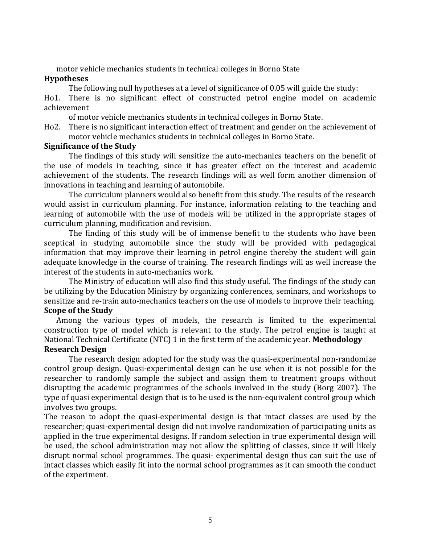motor vehicle mechanics students in technical colleges in Borno State

### Hypotheses

The following null hypotheses at a level of significance of 0.05 will guide the study:

Ho1. There is no significant effect of constructed petrol engine model on academic achievement

of motor vehicle mechanics students in technical colleges in Borno State.

Ho2. There is no significant interaction effect of treatment and gender on the achievement of motor vehicle mechanics students in technical colleges in Borno State.

### Significance of the Study

The findings of this study will sensitize the auto-mechanics teachers on the benefit of the use of models in teaching, since it has greater effect on the interest and academic achievement of the students. The research findings will as well form another dimension of innovations in teaching and learning of automobile.

The curriculum planners would also benefit from this study. The results of the research would assist in curriculum planning. For instance, information relating to the teaching and learning of automobile with the use of models will be utilized in the appropriate stages of curriculum planning, modification and revision.

The finding of this study will be of immense benefit to the students who have been sceptical in studying automobile since the study will be provided with pedagogical information that may improve their learning in petrol engine thereby the student will gain adequate knowledge in the course of training. The research findings will as well increase the interest of the students in auto-mechanics work.

The Ministry of education will also find this study useful. The findings of the study can be utilizing by the Education Ministry by organizing conferences, seminars, and workshops to sensitize and re-train auto-mechanics teachers on the use of models to improve their teaching.

# Scope of the Study

Among the various types of models, the research is limited to the experimental construction type of model which is relevant to the study. The petrol engine is taught at National Technical Certificate (NTC) 1 in the first term of the academic year. Methodology

# Research Design

The research design adopted for the study was the quasi-experimental non-randomize control group design. Quasi-experimental design can be use when it is not possible for the researcher to randomly sample the subject and assign them to treatment groups without disrupting the academic programmes of the schools involved in the study (Borg 2007). The type of quasi experimental design that is to be used is the non-equivalent control group which involves two groups.

The reason to adopt the quasi-experimental design is that intact classes are used by the researcher; quasi-experimental design did not involve randomization of participating units as applied in the true experimental designs. If random selection in true experimental design will be used, the school administration may not allow the splitting of classes, since it will likely disrupt normal school programmes. The quasi- experimental design thus can suit the use of intact classes which easily fit into the normal school programmes as it can smooth the conduct of the experiment.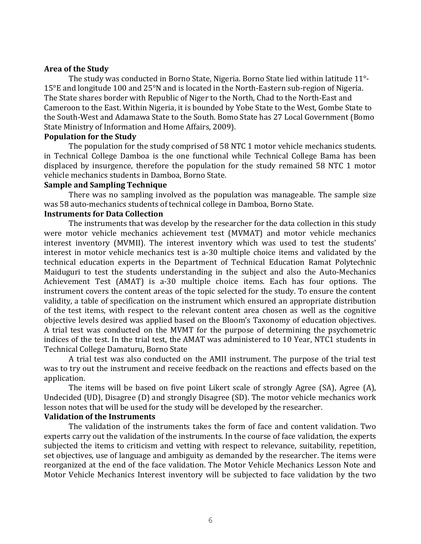#### Area of the Study

The study was conducted in Borno State, Nigeria. Borno State lied within latitude 11°- 15°E and longitude 100 and 25°N and is located in the North-Eastern sub-region of Nigeria. The State shares border with Republic of Niger to the North, Chad to the North-East and Cameroon to the East. Within Nigeria, it is bounded by Yobe State to the West, Gombe State to the South-West and Adamawa State to the South. Bomo State has 27 Local Government (Bomo State Ministry of Information and Home Affairs, 2009).

#### Population for the Study

The population for the study comprised of 58 NTC 1 motor vehicle mechanics students. in Technical College Damboa is the one functional while Technical College Bama has been displaced by insurgence, therefore the population for the study remained 58 NTC 1 motor vehicle mechanics students in Damboa, Borno State.

#### Sample and Sampling Technique

There was no sampling involved as the population was manageable. The sample size was 58 auto-mechanics students of technical college in Damboa, Borno State.

#### Instruments for Data Collection

The instruments that was develop by the researcher for the data collection in this study were motor vehicle mechanics achievement test (MVMAT) and motor vehicle mechanics interest inventory (MVMII). The interest inventory which was used to test the students' interest in motor vehicle mechanics test is a-30 multiple choice items and validated by the technical education experts in the Department of Technical Education Ramat Polytechnic Maiduguri to test the students understanding in the subject and also the Auto-Mechanics Achievement Test (AMAT) is a-30 multiple choice items. Each has four options. The instrument covers the content areas of the topic selected for the study. To ensure the content validity, a table of specification on the instrument which ensured an appropriate distribution of the test items, with respect to the relevant content area chosen as well as the cognitive objective levels desired was applied based on the Bloom's Taxonomy of education objectives. A trial test was conducted on the MVMT for the purpose of determining the psychometric indices of the test. In the trial test, the AMAT was administered to 10 Year, NTC1 students in Technical College Damaturu, Borno State

A trial test was also conducted on the AMII instrument. The purpose of the trial test was to try out the instrument and receive feedback on the reactions and effects based on the application.

The items will be based on five point Likert scale of strongly Agree (SA), Agree (A), Undecided (UD), Disagree (D) and strongly Disagree (SD). The motor vehicle mechanics work lesson notes that will be used for the study will be developed by the researcher.

# Validation of the Instruments

The validation of the instruments takes the form of face and content validation. Two experts carry out the validation of the instruments. In the course of face validation, the experts subjected the items to criticism and vetting with respect to relevance, suitability, repetition, set objectives, use of language and ambiguity as demanded by the researcher. The items were reorganized at the end of the face validation. The Motor Vehicle Mechanics Lesson Note and Motor Vehicle Mechanics Interest inventory will be subjected to face validation by the two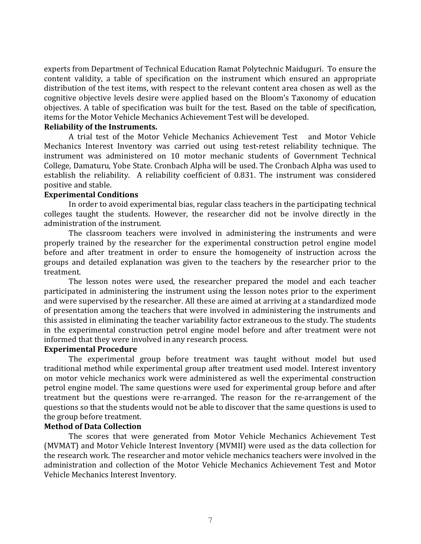experts from Department of Technical Education Ramat Polytechnic Maiduguri. To ensure the content validity, a table of specification on the instrument which ensured an appropriate distribution of the test items, with respect to the relevant content area chosen as well as the cognitive objective levels desire were applied based on the Bloom's Taxonomy of education objectives. A table of specification was built for the test. Based on the table of specification, items for the Motor Vehicle Mechanics Achievement Test will be developed.

#### Reliability of the Instruments.

A trial test of the Motor Vehicle Mechanics Achievement Test and Motor Vehicle Mechanics Interest Inventory was carried out using test-retest reliability technique. The instrument was administered on 10 motor mechanic students of Government Technical College, Damaturu, Yobe State. Cronbach Alpha will be used. The Cronbach Alpha was used to establish the reliability. A reliability coefficient of 0.831. The instrument was considered positive and stable.

#### Experimental Conditions

In order to avoid experimental bias, regular class teachers in the participating technical colleges taught the students. However, the researcher did not be involve directly in the administration of the instrument.

The classroom teachers were involved in administering the instruments and were properly trained by the researcher for the experimental construction petrol engine model before and after treatment in order to ensure the homogeneity of instruction across the groups and detailed explanation was given to the teachers by the researcher prior to the treatment.

The lesson notes were used, the researcher prepared the model and each teacher participated in administering the instrument using the lesson notes prior to the experiment and were supervised by the researcher. All these are aimed at arriving at a standardized mode of presentation among the teachers that were involved in administering the instruments and this assisted in eliminating the teacher variability factor extraneous to the study. The students in the experimental construction petrol engine model before and after treatment were not informed that they were involved in any research process.

#### Experimental Procedure

The experimental group before treatment was taught without model but used traditional method while experimental group after treatment used model. Interest inventory on motor vehicle mechanics work were administered as well the experimental construction petrol engine model. The same questions were used for experimental group before and after treatment but the questions were re-arranged. The reason for the re-arrangement of the questions so that the students would not be able to discover that the same questions is used to the group before treatment.

#### Method of Data Collection

The scores that were generated from Motor Vehicle Mechanics Achievement Test (MVMAT) and Motor Vehicle Interest Inventory (MVMII) were used as the data collection for the research work. The researcher and motor vehicle mechanics teachers were involved in the administration and collection of the Motor Vehicle Mechanics Achievement Test and Motor Vehicle Mechanics Interest Inventory.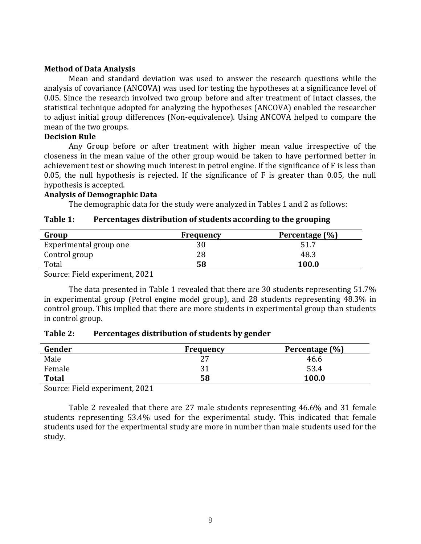#### Method of Data Analysis

Mean and standard deviation was used to answer the research questions while the analysis of covariance (ANCOVA) was used for testing the hypotheses at a significance level of 0.05. Since the research involved two group before and after treatment of intact classes, the statistical technique adopted for analyzing the hypotheses (ANCOVA) enabled the researcher to adjust initial group differences (Non-equivalence). Using ANCOVA helped to compare the mean of the two groups.

#### Decision Rule

Any Group before or after treatment with higher mean value irrespective of the closeness in the mean value of the other group would be taken to have performed better in achievement test or showing much interest in petrol engine. If the significance of F is less than 0.05, the null hypothesis is rejected. If the significance of F is greater than 0.05, the null hypothesis is accepted.

#### Analysis of Demographic Data

The demographic data for the study were analyzed in Tables 1 and 2 as follows:

| Group                  | Frequency | Percentage (%) |
|------------------------|-----------|----------------|
| Experimental group one | 3U        | 51.7           |
| Control group          | 28        | 48.3           |
| Total                  | 58        | 100.0          |

# Table 1: Percentages distribution of students according to the grouping

Source: Field experiment, 2021

The data presented in Table 1 revealed that there are 30 students representing 51.7% in experimental group (Petrol engine model group), and 28 students representing 48.3% in control group. This implied that there are more students in experimental group than students in control group.

#### Table 2: Percentages distribution of students by gender

| Gender       | <b>Frequency</b> | Percentage (%) |
|--------------|------------------|----------------|
| Male         | ר ר<br>، ت       | 46.6           |
| Female       | 31               | 53.4           |
| <b>Total</b> | 58               | 100.0          |

Source: Field experiment, 2021

Table 2 revealed that there are 27 male students representing 46.6% and 31 female students representing 53.4% used for the experimental study. This indicated that female students used for the experimental study are more in number than male students used for the study.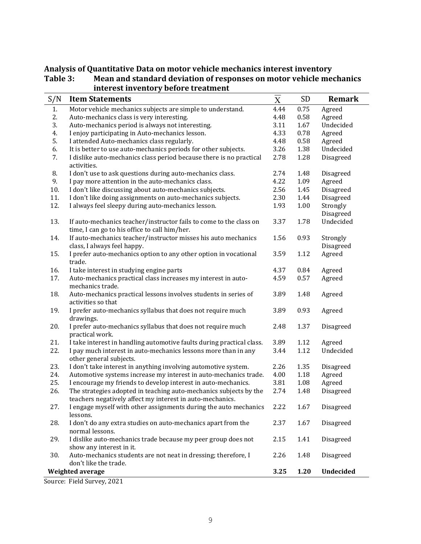| S/N | <b>Item Statements</b>                                                                                                         | $\overline{\overline{\mathrm{X}}}$ | SD       | <b>Remark</b> |
|-----|--------------------------------------------------------------------------------------------------------------------------------|------------------------------------|----------|---------------|
| 1.  | Motor vehicle mechanics subjects are simple to understand.                                                                     | 4.44                               | 0.75     | Agreed        |
| 2.  | Auto-mechanics class is very interesting.                                                                                      | 4.48                               | 0.58     | Agreed        |
| 3.  | Auto-mechanics period is always not interesting.                                                                               | 3.11                               | 1.67     | Undecided     |
| 4.  | I enjoy participating in Auto-mechanics lesson.                                                                                | 4.33                               | 0.78     | Agreed        |
| 5.  | I attended Auto-mechanics class regularly.                                                                                     | 4.48                               | 0.58     | Agreed        |
| 6.  | It is better to use auto-mechanics periods for other subjects.                                                                 | 3.26                               | 1.38     | Undecided     |
| 7.  | I dislike auto-mechanics class period because there is no practical<br>activities.                                             | 2.78                               | 1.28     | Disagreed     |
| 8.  | I don't use to ask questions during auto-mechanics class.                                                                      | 2.74                               | 1.48     | Disagreed     |
| 9.  | I pay more attention in the auto-mechanics class.                                                                              | 4.22                               | 1.09     | Agreed        |
| 10. | I don't like discussing about auto-mechanics subjects.                                                                         | 2.56                               | 1.45     | Disagreed     |
| 11. | I don't like doing assignments on auto-mechanics subjects.                                                                     | 2.30                               | 1.44     | Disagreed     |
| 12. | I always feel sleepy during auto-mechanics lesson.                                                                             | 1.93                               | $1.00\,$ | Strongly      |
|     |                                                                                                                                |                                    |          | Disagreed     |
| 13. | If auto-mechanics teacher/instructor fails to come to the class on<br>time, I can go to his office to call him/her.            | 3.37                               | 1.78     | Undecided     |
| 14. | If auto-mechanics teacher/instructor misses his auto mechanics                                                                 | 1.56                               | 0.93     | Strongly      |
|     | class, I always feel happy.                                                                                                    |                                    |          | Disagreed     |
| 15. | I prefer auto-mechanics option to any other option in vocational<br>trade.                                                     | 3.59                               | 1.12     | Agreed        |
| 16. | I take interest in studying engine parts                                                                                       | 4.37                               | 0.84     | Agreed        |
| 17. | Auto-mechanics practical class increases my interest in auto-<br>mechanics trade.                                              | 4.59                               | 0.57     | Agreed        |
| 18. | Auto-mechanics practical lessons involves students in series of<br>activities so that                                          | 3.89                               | 1.48     | Agreed        |
| 19. | I prefer auto-mechanics syllabus that does not require much<br>drawings.                                                       | 3.89                               | 0.93     | Agreed        |
| 20. | I prefer auto-mechanics syllabus that does not require much<br>practical work.                                                 | 2.48                               | 1.37     | Disagreed     |
| 21. | I take interest in handling automotive faults during practical class.                                                          | 3.89                               | 1.12     | Agreed        |
| 22. | I pay much interest in auto-mechanics lessons more than in any<br>other general subjects.                                      | 3.44                               | 1.12     | Undecided     |
| 23. | I don't take interest in anything involving automotive system.                                                                 | 2.26                               | 1.35     | Disagreed     |
| 24. | Automotive systems increase my interest in auto-mechanics trade.                                                               | 4.00                               | 1.18     | Agreed        |
| 25. | I encourage my friends to develop interest in auto-mechanics.                                                                  | 3.81                               | 1.08     | Agreed        |
| 26. | The strategies adopted in teaching auto-mechanics subjects by the<br>teachers negatively affect my interest in auto-mechanics. | 2.74                               | 1.48     | Disagreed     |
| 27. | I engage myself with other assignments during the auto mechanics<br>lessons.                                                   | 2.22                               | 1.67     | Disagreed     |
| 28. | I don't do any extra studies on auto-mechanics apart from the<br>normal lessons.                                               | 2.37                               | 1.67     | Disagreed     |
| 29. | I dislike auto-mechanics trade because my peer group does not<br>show any interest in it.                                      | 2.15                               | 1.41     | Disagreed     |
| 30. | Auto-mechanics students are not neat in dressing; therefore, I<br>don't like the trade.                                        | 2.26                               | 1.48     | Disagreed     |
|     | Weighted average                                                                                                               | 3.25                               | 1.20     | Undecided     |

# Analysis of Quantitative Data on motor vehicle mechanics interest inventory<br>Table 3: Mean and standard deviation of responses on motor vehicle means Mean and standard deviation of responses on motor vehicle mechanics interest inventory before treatment

Source: Field Survey, 2021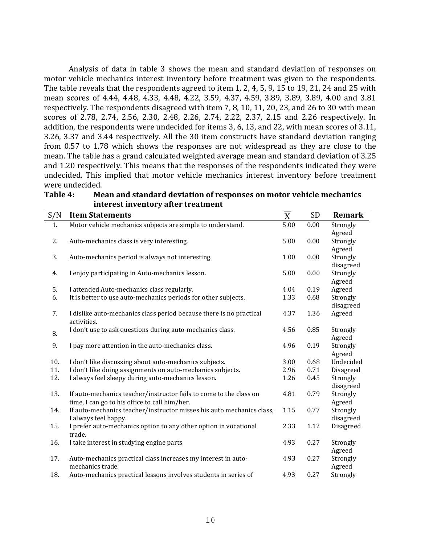Analysis of data in table 3 shows the mean and standard deviation of responses on motor vehicle mechanics interest inventory before treatment was given to the respondents. The table reveals that the respondents agreed to item 1, 2, 4, 5, 9, 15 to 19, 21, 24 and 25 with mean scores of 4.44, 4.48, 4.33, 4.48, 4.22, 3.59, 4.37, 4.59, 3.89, 3.89, 3.89, 4.00 and 3.81 respectively. The respondents disagreed with item 7, 8, 10, 11, 20, 23, and 26 to 30 with mean scores of 2.78, 2.74, 2.56, 2.30, 2.48, 2.26, 2.74, 2.22, 2.37, 2.15 and 2.26 respectively. In addition, the respondents were undecided for items 3, 6, 13, and 22, with mean scores of 3.11, 3.26, 3.37 and 3.44 respectively. All the 30 item constructs have standard deviation ranging from 0.57 to 1.78 which shows the responses are not widespread as they are close to the mean. The table has a grand calculated weighted average mean and standard deviation of 3.25 and 1.20 respectively. This means that the responses of the respondents indicated they were undecided. This implied that motor vehicle mechanics interest inventory before treatment were undecided.

|     | niterest inventory after treatment                                                                                  |                                    |           |                       |
|-----|---------------------------------------------------------------------------------------------------------------------|------------------------------------|-----------|-----------------------|
| S/N | <b>Item Statements</b>                                                                                              | $\overline{\overline{\mathrm{X}}}$ | <b>SD</b> | <b>Remark</b>         |
| 1.  | Motor vehicle mechanics subjects are simple to understand.                                                          | 5.00                               | 0.00      | Strongly              |
| 2.  | Auto-mechanics class is very interesting.                                                                           | 5.00                               | 0.00      | Agreed<br>Strongly    |
|     |                                                                                                                     |                                    |           | Agreed                |
| 3.  | Auto-mechanics period is always not interesting.                                                                    | 1.00                               | 0.00      | Strongly<br>disagreed |
| 4.  | I enjoy participating in Auto-mechanics lesson.                                                                     | 5.00                               | 0.00      | Strongly<br>Agreed    |
| 5.  | I attended Auto-mechanics class regularly.                                                                          | 4.04                               | 0.19      | Agreed                |
| 6.  | It is better to use auto-mechanics periods for other subjects.                                                      | 1.33                               | 0.68      | Strongly<br>disagreed |
| 7.  | I dislike auto-mechanics class period because there is no practical<br>activities.                                  | 4.37                               | 1.36      | Agreed                |
| 8.  | I don't use to ask questions during auto-mechanics class.                                                           | 4.56                               | 0.85      | Strongly<br>Agreed    |
| 9.  | I pay more attention in the auto-mechanics class.                                                                   | 4.96                               | 0.19      | Strongly<br>Agreed    |
| 10. | I don't like discussing about auto-mechanics subjects.                                                              | 3.00                               | 0.68      | Undecided             |
| 11. | I don't like doing assignments on auto-mechanics subjects.                                                          | 2.96                               | 0.71      | Disagreed             |
| 12. | I always feel sleepy during auto-mechanics lesson.                                                                  | 1.26                               | 0.45      | Strongly<br>disagreed |
| 13. | If auto-mechanics teacher/instructor fails to come to the class on<br>time, I can go to his office to call him/her. | 4.81                               | 0.79      | Strongly<br>Agreed    |
| 14. | If auto-mechanics teacher/instructor misses his auto mechanics class,<br>I always feel happy.                       | 1.15                               | 0.77      | Strongly<br>disagreed |
| 15. | I prefer auto-mechanics option to any other option in vocational<br>trade.                                          | 2.33                               | 1.12      | Disagreed             |
| 16. | I take interest in studying engine parts                                                                            | 4.93                               | 0.27      | Strongly<br>Agreed    |
| 17. | Auto-mechanics practical class increases my interest in auto-<br>mechanics trade.                                   | 4.93                               | 0.27      | Strongly<br>Agreed    |
| 18. | Auto-mechanics practical lessons involves students in series of                                                     | 4.93                               | 0.27      | Strongly              |

Table 4: Mean and standard deviation of responses on motor vehicle mechanics interest inventory after treatment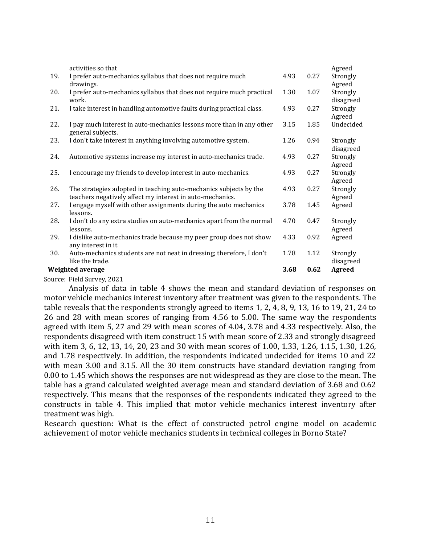|     | Weighted average                                                                                                               | 3.68 | 0.62 | Agreed                |
|-----|--------------------------------------------------------------------------------------------------------------------------------|------|------|-----------------------|
|     | like the trade.                                                                                                                |      |      | disagreed             |
| 30. | any interest in it.<br>Auto-mechanics students are not neat in dressing; therefore, I don't                                    | 1.78 | 1.12 | Strongly              |
| 29. | I dislike auto-mechanics trade because my peer group does not show                                                             | 4.33 | 0.92 | Agreed                |
|     | lessons.                                                                                                                       |      |      | Agreed                |
| 28. | lessons.<br>I don't do any extra studies on auto-mechanics apart from the normal                                               | 4.70 | 0.47 | Strongly              |
| 27. | I engage myself with other assignments during the auto mechanics                                                               | 3.78 | 1.45 | Agreed                |
| 26. | The strategies adopted in teaching auto-mechanics subjects by the<br>teachers negatively affect my interest in auto-mechanics. | 4.93 | 0.27 | Strongly<br>Agreed    |
| 25. | I encourage my friends to develop interest in auto-mechanics.                                                                  | 4.93 | 0.27 | Strongly<br>Agreed    |
| 24. | Automotive systems increase my interest in auto-mechanics trade.                                                               | 4.93 | 0.27 | Strongly<br>Agreed    |
| 23. | I don't take interest in anything involving automotive system.                                                                 | 1.26 | 0.94 | Strongly<br>disagreed |
|     | general subjects.                                                                                                              |      |      |                       |
| 22. | I pay much interest in auto-mechanics lessons more than in any other                                                           | 3.15 | 1.85 | Agreed<br>Undecided   |
| 21. | I take interest in handling automotive faults during practical class.                                                          | 4.93 | 0.27 | Strongly              |
| 20. | I prefer auto-mechanics syllabus that does not require much practical<br>work.                                                 | 1.30 | 1.07 | Strongly<br>disagreed |
|     | drawings.                                                                                                                      |      |      | Agreed                |
| 19. | activities so that<br>I prefer auto-mechanics syllabus that does not require much                                              | 4.93 | 0.27 | Agreed<br>Strongly    |

Source: Field Survey, 2021

Analysis of data in table 4 shows the mean and standard deviation of responses on motor vehicle mechanics interest inventory after treatment was given to the respondents. The table reveals that the respondents strongly agreed to items 1, 2, 4, 8, 9, 13, 16 to 19, 21, 24 to 26 and 28 with mean scores of ranging from 4.56 to 5.00. The same way the respondents agreed with item 5, 27 and 29 with mean scores of 4.04, 3.78 and 4.33 respectively. Also, the respondents disagreed with item construct 15 with mean score of 2.33 and strongly disagreed with item 3, 6, 12, 13, 14, 20, 23 and 30 with mean scores of 1.00, 1.33, 1.26, 1.15, 1.30, 1.26, and 1.78 respectively. In addition, the respondents indicated undecided for items 10 and 22 with mean 3.00 and 3.15. All the 30 item constructs have standard deviation ranging from 0.00 to 1.45 which shows the responses are not widespread as they are close to the mean. The table has a grand calculated weighted average mean and standard deviation of 3.68 and 0.62 respectively. This means that the responses of the respondents indicated they agreed to the constructs in table 4. This implied that motor vehicle mechanics interest inventory after treatment was high.

Research question: What is the effect of constructed petrol engine model on academic achievement of motor vehicle mechanics students in technical colleges in Borno State?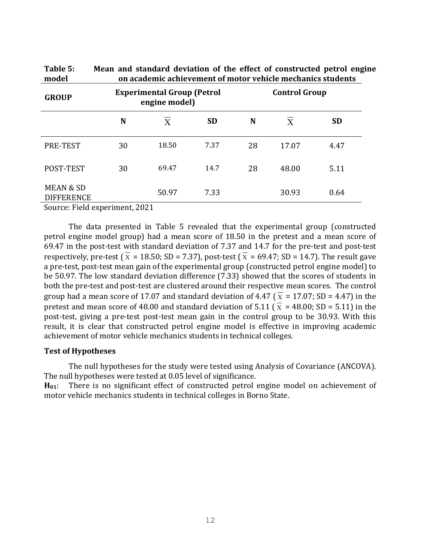| rable 5:<br>model                         | Mean and standard deviation of the effect of constructed petrol engli<br>on academic achievement of motor vehicle mechanics students |          |           |                      |              |           |
|-------------------------------------------|--------------------------------------------------------------------------------------------------------------------------------------|----------|-----------|----------------------|--------------|-----------|
| <b>GROUP</b>                              | <b>Experimental Group (Petrol</b><br>engine model)                                                                                   |          |           | <b>Control Group</b> |              |           |
|                                           | N                                                                                                                                    | $\bf{X}$ | <b>SD</b> | N                    | $\mathbf{X}$ | <b>SD</b> |
| PRE-TEST                                  | 30                                                                                                                                   | 18.50    | 7.37      | 28                   | 17.07        | 4.47      |
| POST-TEST                                 | 30                                                                                                                                   | 69.47    | 14.7      | 28                   | 48.00        | 5.11      |
| <b>MEAN &amp; SD</b><br><b>DIFFERENCE</b> |                                                                                                                                      | 50.97    | 7.33      |                      | 30.93        | 0.64      |

Table 5: Mean and standard deviation of the effect of constructed petrol engine

Source: Field experiment, 2021

The data presented in Table 5 revealed that the experimental group (constructed petrol engine model group) had a mean score of 18.50 in the pretest and a mean score of 69.47 in the post-test with standard deviation of 7.37 and 14.7 for the pre-test and post-test respectively, pre-test (  $\overline{x}$  = 18.50; SD = 7.37), post-test (  $\overline{x}$  = 69.47; SD = 14.7). The result gave a pre-test, post-test mean gain of the experimental group (constructed petrol engine model) to be 50.97. The low standard deviation difference (7.33) showed that the scores of students in both the pre-test and post-test are clustered around their respective mean scores. The control group had a mean score of 17.07 and standard deviation of 4.47 (  $\overline{x}$  = 17.07; SD = 4.47) in the pretest and mean score of 48.00 and standard deviation of 5.11 ( $\overline{x}$  = 48.00; SD = 5.11) in the post-test, giving a pre-test post-test mean gain in the control group to be 30.93. With this result, it is clear that constructed petrol engine model is effective in improving academic achievement of motor vehicle mechanics students in technical colleges.

#### Test of Hypotheses

The null hypotheses for the study were tested using Analysis of Covariance (ANCOVA). The null hypotheses were tested at 0.05 level of significance.

H<sub>01</sub>: There is no significant effect of constructed petrol engine model on achievement of motor vehicle mechanics students in technical colleges in Borno State.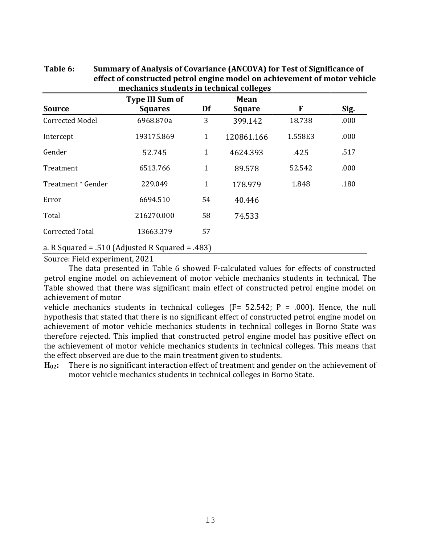|                        | <b>Type III Sum of</b>                          |             | <b>Mean</b>   |         |      |
|------------------------|-------------------------------------------------|-------------|---------------|---------|------|
| <b>Source</b>          | <b>Squares</b>                                  | Df          | <b>Square</b> | F       | Sig. |
| <b>Corrected Model</b> | 6968.870a                                       | 3           | 399.142       | 18.738  | .000 |
| Intercept              | 193175.869                                      | 1           | 120861.166    | 1.558E3 | .000 |
| Gender                 | 52.745                                          | $\mathbf 1$ | 4624.393      | .425    | .517 |
| Treatment              | 6513.766                                        | 1           | 89.578        | 52.542  | .000 |
| Treatment * Gender     | 229.049                                         | $\mathbf 1$ | 178.979       | 1.848   | .180 |
| Error                  | 6694.510                                        | 54          | 40.446        |         |      |
| Total                  | 216270.000                                      | 58          | 74.533        |         |      |
| <b>Corrected Total</b> | 13663.379                                       | 57          |               |         |      |
|                        | a. R Squared = .510 (Adjusted R Squared = .483) |             |               |         |      |

# Table 6: Summary of Analysis of Covariance (ANCOVA) for Test of Significance of effect of constructed petrol engine model on achievement of motor vehicle mechanics students in technical colleges

Source: Field experiment, 2021

The data presented in Table 6 showed F-calculated values for effects of constructed petrol engine model on achievement of motor vehicle mechanics students in technical. The Table showed that there was significant main effect of constructed petrol engine model on achievement of motor

vehicle mechanics students in technical colleges ( $F = 52.542$ ;  $P = .000$ ). Hence, the null hypothesis that stated that there is no significant effect of constructed petrol engine model on achievement of motor vehicle mechanics students in technical colleges in Borno State was therefore rejected. This implied that constructed petrol engine model has positive effect on the achievement of motor vehicle mechanics students in technical colleges. This means that the effect observed are due to the main treatment given to students.

H<sub>02</sub>: There is no significant interaction effect of treatment and gender on the achievement of motor vehicle mechanics students in technical colleges in Borno State.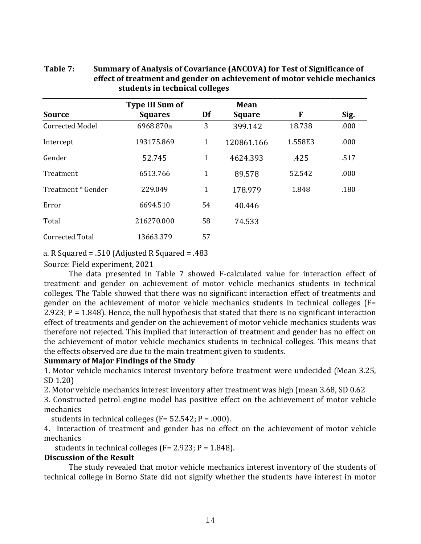|                        | <b>Type III Sum of</b>                          |              | <b>Mean</b>   |         |      |
|------------------------|-------------------------------------------------|--------------|---------------|---------|------|
| <b>Source</b>          | <b>Squares</b>                                  | Df           | <b>Square</b> | F       | Sig. |
| <b>Corrected Model</b> | 6968.870a                                       | 3            | 399.142       | 18.738  | .000 |
| Intercept              | 193175.869                                      | $\mathbf{1}$ | 120861.166    | 1.558E3 | .000 |
| Gender                 | 52.745                                          | $\mathbf{1}$ | 4624.393      | .425    | .517 |
| Treatment              | 6513.766                                        | $\mathbf 1$  | 89.578        | 52.542  | .000 |
| Treatment * Gender     | 229.049                                         | $\mathbf 1$  | 178.979       | 1.848   | .180 |
| Error                  | 6694.510                                        | 54           | 40.446        |         |      |
| Total                  | 216270.000                                      | 58           | 74.533        |         |      |
| <b>Corrected Total</b> | 13663.379                                       | 57           |               |         |      |
|                        | a. R Squared = .510 (Adjusted R Squared = .483) |              |               |         |      |

# Table 7: Summary of Analysis of Covariance (ANCOVA) for Test of Significance of effect of treatment and gender on achievement of motor vehicle mechanics students in technical colleges

Source: Field experiment, 2021

The data presented in Table 7 showed F-calculated value for interaction effect of treatment and gender on achievement of motor vehicle mechanics students in technical colleges. The Table showed that there was no significant interaction effect of treatments and gender on the achievement of motor vehicle mechanics students in technical colleges (F= 2.923; P = 1.848). Hence, the null hypothesis that stated that there is no significant interaction effect of treatments and gender on the achievement of motor vehicle mechanics students was therefore not rejected. This implied that interaction of treatment and gender has no effect on the achievement of motor vehicle mechanics students in technical colleges. This means that the effects observed are due to the main treatment given to students.

#### Summary of Major Findings of the Study

1. Motor vehicle mechanics interest inventory before treatment were undecided (Mean 3.25, SD 1.20)

2. Motor vehicle mechanics interest inventory after treatment was high (mean 3.68, SD 0.62

3. Constructed petrol engine model has positive effect on the achievement of motor vehicle mechanics

students in technical colleges ( $F = 52.542$ ;  $P = .000$ ).

4. Interaction of treatment and gender has no effect on the achievement of motor vehicle mechanics

students in technical colleges ( $F = 2.923$ ;  $P = 1.848$ ).

#### Discussion of the Result

The study revealed that motor vehicle mechanics interest inventory of the students of technical college in Borno State did not signify whether the students have interest in motor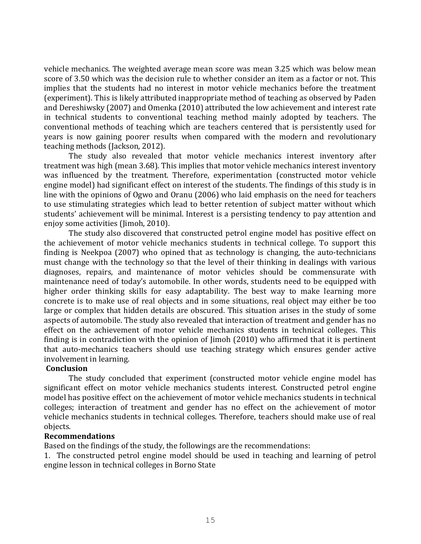vehicle mechanics. The weighted average mean score was mean 3.25 which was below mean score of 3.50 which was the decision rule to whether consider an item as a factor or not. This implies that the students had no interest in motor vehicle mechanics before the treatment (experiment). This is likely attributed inappropriate method of teaching as observed by Paden and Dereshiwsky (2007) and Omenka (2010) attributed the low achievement and interest rate in technical students to conventional teaching method mainly adopted by teachers. The conventional methods of teaching which are teachers centered that is persistently used for years is now gaining poorer results when compared with the modern and revolutionary teaching methods (Jackson, 2012).

The study also revealed that motor vehicle mechanics interest inventory after treatment was high (mean 3.68). This implies that motor vehicle mechanics interest inventory was influenced by the treatment. Therefore, experimentation (constructed motor vehicle engine model) had significant effect on interest of the students. The findings of this study is in line with the opinions of Ogwo and Oranu (2006) who laid emphasis on the need for teachers to use stimulating strategies which lead to better retention of subject matter without which students' achievement will be minimal. Interest is a persisting tendency to pay attention and enjoy some activities (Jimoh, 2010).

The study also discovered that constructed petrol engine model has positive effect on the achievement of motor vehicle mechanics students in technical college. To support this finding is Neekpoa (2007) who opined that as technology is changing, the auto-technicians must change with the technology so that the level of their thinking in dealings with various diagnoses, repairs, and maintenance of motor vehicles should be commensurate with maintenance need of today's automobile. In other words, students need to be equipped with higher order thinking skills for easy adaptability. The best way to make learning more concrete is to make use of real objects and in some situations, real object may either be too large or complex that hidden details are obscured. This situation arises in the study of some aspects of automobile. The study also revealed that interaction of treatment and gender has no effect on the achievement of motor vehicle mechanics students in technical colleges. This finding is in contradiction with the opinion of Jimoh (2010) who affirmed that it is pertinent that auto-mechanics teachers should use teaching strategy which ensures gender active involvement in learning.

#### Conclusion

The study concluded that experiment (constructed motor vehicle engine model has significant effect on motor vehicle mechanics students interest. Constructed petrol engine model has positive effect on the achievement of motor vehicle mechanics students in technical colleges; interaction of treatment and gender has no effect on the achievement of motor vehicle mechanics students in technical colleges. Therefore, teachers should make use of real objects.

#### Recommendations

Based on the findings of the study, the followings are the recommendations:

1. The constructed petrol engine model should be used in teaching and learning of petrol engine lesson in technical colleges in Borno State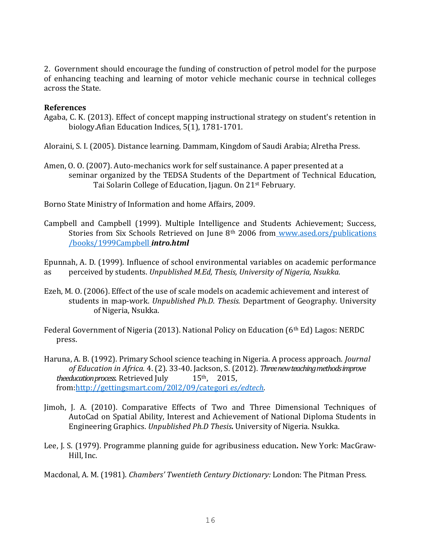2. Government should encourage the funding of construction of petrol model for the purpose of enhancing teaching and learning of motor vehicle mechanic course in technical colleges across the State.

### References

Agaba, C. K. (2013). Effect of concept mapping instructional strategy on student's retention in biology.Afian Education Indices, 5(1), 1781-1701.

Aloraini, S. I. (2005). Distance learning. Dammam, Kingdom of Saudi Arabia; Alretha Press.

Amen, O. O. (2007). Auto-mechanics work for self sustainance. A paper presented at a seminar organized by the TEDSA Students of the Department of Technical Education, Tai Solarin College of Education, Ijagun. On 21st February.

Borno State Ministry of Information and home Affairs, 2009.

Campbell and Campbell (1999). Multiple Intelligence and Students Achievement; Success, Stories from Six Schools Retrieved on June 8th 2006 from www.ased.ors/publications /books/1999Campbell intro.html

Epunnah, A. D. (1999). Influence of school environmental variables on academic performance as perceived by students. Unpublished M.Ed, Thesis, University of Nigeria, Nsukka.

- Ezeh, M. O. (2006). Effect of the use of scale models on academic achievement and interest of students in map-work. Unpublished Ph.D. Thesis. Department of Geography. University of Nigeria, Nsukka.
- Federal Government of Nigeria (2013). National Policy on Education (6th Ed) Lagos: NERDC press.
- Haruna, A. B. (1992). Primary School science teaching in Nigeria. A process approach. Journal of Education in Africa. 4. (2). 33-40. Jackson, S. (2012). Three new teaching methods improve theeducation process. Retrieved July  $15<sup>th</sup>$ , 2015, from:http://gettingsmart.com/20l2/09/categori es/edtech.
- Jimoh, J. A. (2010). Comparative Effects of Two and Three Dimensional Techniques of AutoCad on Spatial Ability, Interest and Achievement of National Diploma Students in Engineering Graphics. Unpublished Ph.D Thesis. University of Nigeria. Nsukka.
- Lee, J. S. (1979). Programme planning guide for agribusiness education. New York: MacGraw- Hill, Inc.

Macdonal, A. M. (1981). *Chambers' Twentieth Century Dictionary: London: The Pitman Press.*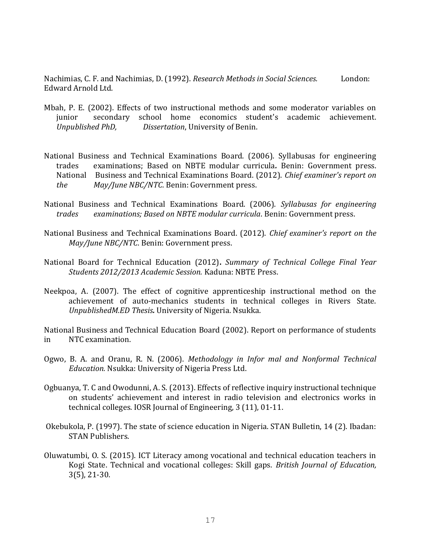Nachimias, C. F. and Nachimias, D. (1992). Research Methods in Social Sciences. London: Edward Arnold Ltd.

- Mbah, P. E. (2002). Effects of two instructional methods and some moderator variables on junior secondary school home economics student's academic achievement. Unpublished PhD, Dissertation, University of Benin.
- National Business and Technical Examinations Board. (2006). Syllabusas for engineering trades examinations; Based on NBTE modular curricula. Benin: Government press. National Business and Technical Examinations Board. (2012). Chief examiner's report on the May/June NBC/NTC. Benin: Government press.
- National Business and Technical Examinations Board. (2006). Syllabusas for engineering trades examinations; Based on NBTE modular curricula. Benin: Government press.
- National Business and Technical Examinations Board. (2012). Chief examiner's report on the May/June NBC/NTC. Benin: Government press.
- National Board for Technical Education (2012). Summary of Technical College Final Year Students 2012/2013 Academic Session. Kaduna: NBTE Press.
- Neekpoa, A. (2007). The effect of cognitive apprenticeship instructional method on the achievement of auto-mechanics students in technical colleges in Rivers State. UnpublishedM.ED Thesis. University of Nigeria. Nsukka.

National Business and Technical Education Board (2002). Report on performance of students in NTC examination.

- Ogwo, B. A. and Oranu, R. N. (2006). Methodology in Infor mal and Nonformal Technical Education. Nsukka: University of Nigeria Press Ltd.
- Ogbuanya, T. C and Owodunni, A. S. (2013). Effects of reflective inquiry instructional technique on students' achievement and interest in radio television and electronics works in technical colleges. IOSR Journal of Engineering, 3 (11), 01-11.
- Okebukola, P. (1997). The state of science education in Nigeria. STAN Bulletin, 14 (2). Ibadan: STAN Publishers.
- Oluwatumbi, O. S. (2015). ICT Literacy among vocational and technical education teachers in Kogi State. Technical and vocational colleges: Skill gaps. British Journal of Education, 3(5), 21-30.